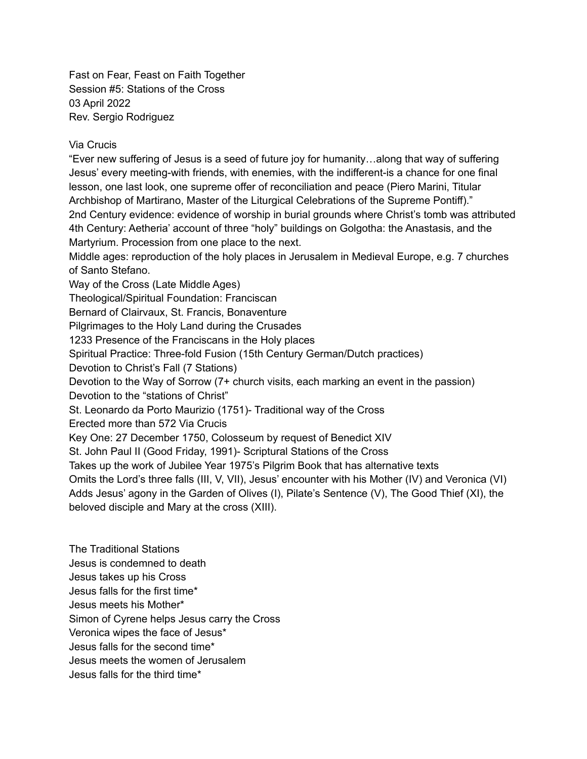Fast on Fear, Feast on Faith Together Session #5: Stations of the Cross 03 April 2022 Rev. Sergio Rodriguez

## Via Crucis

"Ever new suffering of Jesus is a seed of future joy for humanity…along that way of suffering Jesus' every meeting-with friends, with enemies, with the indifferent-is a chance for one final lesson, one last look, one supreme offer of reconciliation and peace (Piero Marini, Titular Archbishop of Martirano, Master of the Liturgical Celebrations of the Supreme Pontiff)." 2nd Century evidence: evidence of worship in burial grounds where Christ's tomb was attributed 4th Century: Aetheria' account of three "holy" buildings on Golgotha: the Anastasis, and the Martyrium. Procession from one place to the next.

Middle ages: reproduction of the holy places in Jerusalem in Medieval Europe, e.g. 7 churches of Santo Stefano.

Way of the Cross (Late Middle Ages) Theological/Spiritual Foundation: Franciscan Bernard of Clairvaux, St. Francis, Bonaventure Pilgrimages to the Holy Land during the Crusades 1233 Presence of the Franciscans in the Holy places Spiritual Practice: Three-fold Fusion (15th Century German/Dutch practices) Devotion to Christ's Fall (7 Stations) Devotion to the Way of Sorrow (7+ church visits, each marking an event in the passion) Devotion to the "stations of Christ" St. Leonardo da Porto Maurizio (1751)- Traditional way of the Cross Erected more than 572 Via Crucis Key One: 27 December 1750, Colosseum by request of Benedict XIV St. John Paul II (Good Friday, 1991)- Scriptural Stations of the Cross Takes up the work of Jubilee Year 1975's Pilgrim Book that has alternative texts Omits the Lord's three falls (III, V, VII), Jesus' encounter with his Mother (IV) and Veronica (VI) Adds Jesus' agony in the Garden of Olives (I), Pilate's Sentence (V), The Good Thief (XI), the beloved disciple and Mary at the cross (XIII).

The Traditional Stations Jesus is condemned to death Jesus takes up his Cross Jesus falls for the first time\* Jesus meets his Mother\* Simon of Cyrene helps Jesus carry the Cross Veronica wipes the face of Jesus\* Jesus falls for the second time\* Jesus meets the women of Jerusalem Jesus falls for the third time\*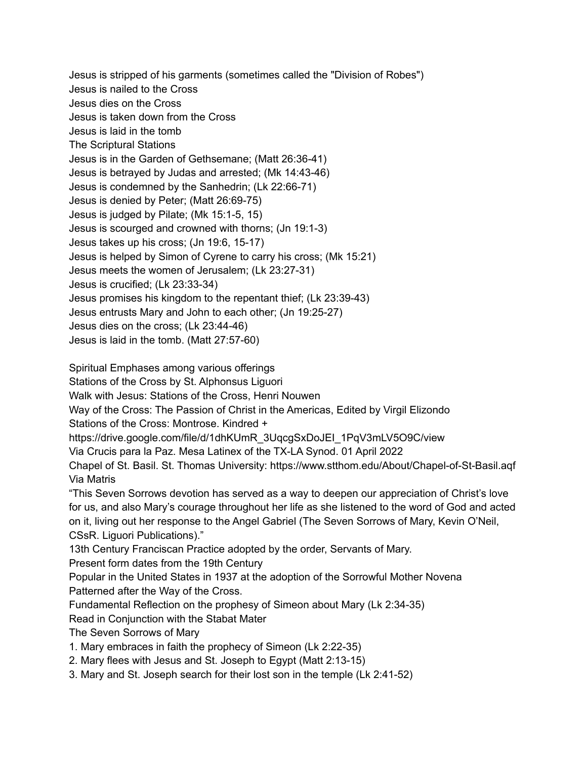Jesus is stripped of his garments (sometimes called the "Division of Robes") Jesus is nailed to the Cross Jesus dies on the Cross Jesus is taken down from the Cross Jesus is laid in the tomb The Scriptural Stations Jesus is in the Garden of Gethsemane; (Matt 26:36-41) Jesus is betrayed by Judas and arrested; (Mk 14:43-46) Jesus is condemned by the Sanhedrin; (Lk 22:66-71) Jesus is denied by Peter; (Matt 26:69-75) Jesus is judged by Pilate; (Mk 15:1-5, 15) Jesus is scourged and crowned with thorns; (Jn 19:1-3) Jesus takes up his cross; (Jn 19:6, 15-17) Jesus is helped by Simon of Cyrene to carry his cross; (Mk 15:21) Jesus meets the women of Jerusalem; (Lk 23:27-31) Jesus is crucified; (Lk 23:33-34) Jesus promises his kingdom to the repentant thief; (Lk 23:39-43) Jesus entrusts Mary and John to each other; (Jn 19:25-27) Jesus dies on the cross; (Lk 23:44-46) Jesus is laid in the tomb. (Matt 27:57-60)

Spiritual Emphases among various offerings

Stations of the Cross by St. Alphonsus Liguori

Walk with Jesus: Stations of the Cross, Henri Nouwen

Way of the Cross: The Passion of Christ in the Americas, Edited by Virgil Elizondo

Stations of the Cross: Montrose. Kindred +

https://drive.google.com/file/d/1dhKUmR\_3UqcgSxDoJEI\_1PqV3mLV5O9C/view

Via Crucis para la Paz. Mesa Latinex of the TX-LA Synod. 01 April 2022

Chapel of St. Basil. St. Thomas University: https://www.stthom.edu/About/Chapel-of-St-Basil.aqf Via Matris

"This Seven Sorrows devotion has served as a way to deepen our appreciation of Christ's love for us, and also Mary's courage throughout her life as she listened to the word of God and acted on it, living out her response to the Angel Gabriel (The Seven Sorrows of Mary, Kevin O'Neil, CSsR. Liguori Publications)."

13th Century Franciscan Practice adopted by the order, Servants of Mary.

Present form dates from the 19th Century

Popular in the United States in 1937 at the adoption of the Sorrowful Mother Novena Patterned after the Way of the Cross.

Fundamental Reflection on the prophesy of Simeon about Mary (Lk 2:34-35)

Read in Conjunction with the Stabat Mater

The Seven Sorrows of Mary

1. Mary embraces in faith the prophecy of Simeon (Lk 2:22-35)

2. Mary flees with Jesus and St. Joseph to Egypt (Matt 2:13-15)

3. Mary and St. Joseph search for their lost son in the temple (Lk 2:41-52)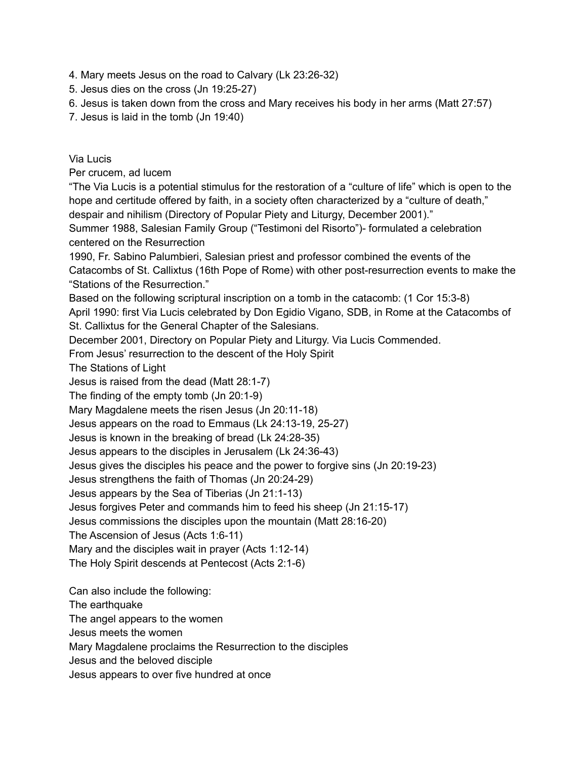4. Mary meets Jesus on the road to Calvary (Lk 23:26-32)

5. Jesus dies on the cross (Jn 19:25-27)

- 6. Jesus is taken down from the cross and Mary receives his body in her arms (Matt 27:57)
- 7. Jesus is laid in the tomb (Jn 19:40)

## Via Lucis

Per crucem, ad lucem

"The Via Lucis is a potential stimulus for the restoration of a "culture of life" which is open to the hope and certitude offered by faith, in a society often characterized by a "culture of death," despair and nihilism (Directory of Popular Piety and Liturgy, December 2001)."

Summer 1988, Salesian Family Group ("Testimoni del Risorto")- formulated a celebration centered on the Resurrection

1990, Fr. Sabino Palumbieri, Salesian priest and professor combined the events of the Catacombs of St. Callixtus (16th Pope of Rome) with other post-resurrection events to make the "Stations of the Resurrection."

Based on the following scriptural inscription on a tomb in the catacomb: (1 Cor 15:3-8) April 1990: first Via Lucis celebrated by Don Egidio Vigano, SDB, in Rome at the Catacombs of St. Callixtus for the General Chapter of the Salesians.

December 2001, Directory on Popular Piety and Liturgy. Via Lucis Commended.

From Jesus' resurrection to the descent of the Holy Spirit

The Stations of Light

Jesus is raised from the dead (Matt 28:1-7)

The finding of the empty tomb (Jn 20:1-9)

Mary Magdalene meets the risen Jesus (Jn 20:11-18)

Jesus appears on the road to Emmaus (Lk 24:13-19, 25-27)

Jesus is known in the breaking of bread (Lk 24:28-35)

Jesus appears to the disciples in Jerusalem (Lk 24:36-43)

Jesus gives the disciples his peace and the power to forgive sins (Jn 20:19-23)

Jesus strengthens the faith of Thomas (Jn 20:24-29)

Jesus appears by the Sea of Tiberias (Jn 21:1-13)

Jesus forgives Peter and commands him to feed his sheep (Jn 21:15-17)

Jesus commissions the disciples upon the mountain (Matt 28:16-20)

The Ascension of Jesus (Acts 1:6-11)

Mary and the disciples wait in prayer (Acts 1:12-14)

The Holy Spirit descends at Pentecost (Acts 2:1-6)

Can also include the following:

The earthquake

The angel appears to the women

Jesus meets the women

Mary Magdalene proclaims the Resurrection to the disciples

Jesus and the beloved disciple

Jesus appears to over five hundred at once